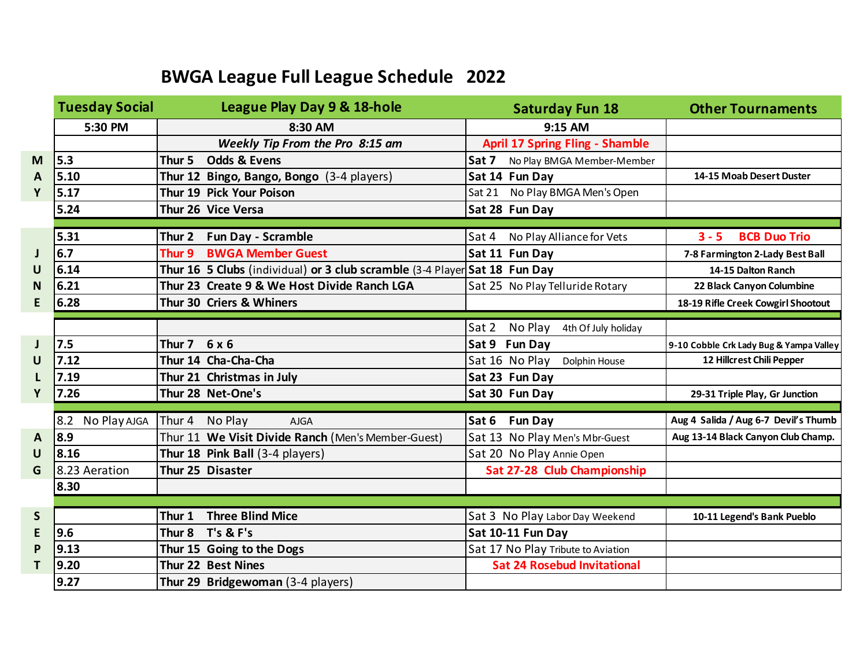## **BWGA League Full League Schedule 2022**

|              | <b>Tuesday Social</b> | League Play Day 9 & 18-hole                                                | <b>Saturday Fun 18</b>                  | <b>Other Tournaments</b>                |
|--------------|-----------------------|----------------------------------------------------------------------------|-----------------------------------------|-----------------------------------------|
|              | 5:30 PM               | 8:30 AM                                                                    | 9:15 AM                                 |                                         |
|              |                       | Weekly Tip From the Pro 8:15 am                                            | <b>April 17 Spring Fling - Shamble</b>  |                                         |
| M            | 5.3                   | <b>Odds &amp; Evens</b><br>Thur <sub>5</sub>                               | Sat 7<br>No Play BMGA Member-Member     |                                         |
| A            | 5.10                  | Thur 12 Bingo, Bango, Bongo (3-4 players)                                  | Sat 14 Fun Day                          | 14-15 Moab Desert Duster                |
| Y            | 5.17                  | Thur 19 Pick Your Poison                                                   | Sat 21 No Play BMGA Men's Open          |                                         |
|              | 5.24                  | Thur 26 Vice Versa                                                         | Sat 28 Fun Day                          |                                         |
|              |                       |                                                                            |                                         |                                         |
|              | 5.31                  | Thur 2 Fun Day - Scramble                                                  | Sat 4 No Play Alliance for Vets         | <b>BCB Duo Trio</b><br>$3 - 5$          |
| J            | 6.7                   | <b>BWGA Member Guest</b><br>Thur 9                                         | Sat 11 Fun Day                          | 7-8 Farmington 2-Lady Best Ball         |
| U            | 6.14                  | Thur 16 5 Clubs (individual) or 3 club scramble (3-4 Player Sat 18 Fun Day |                                         | 14-15 Dalton Ranch                      |
| N            | 6.21                  | Thur 23 Create 9 & We Host Divide Ranch LGA                                | Sat 25 No Play Telluride Rotary         | 22 Black Canyon Columbine               |
| E            | 6.28                  | Thur 30 Criers & Whiners                                                   |                                         | 18-19 Rifle Creek Cowgirl Shootout      |
|              |                       |                                                                            |                                         |                                         |
|              |                       |                                                                            | No Play<br>Sat 2<br>4th Of July holiday |                                         |
| J            | 7.5                   | Thur $7 \quad 6 \times 6$                                                  | Sat 9 Fun Day                           | 9-10 Cobble Crk Lady Bug & Yampa Valley |
| U            | 7.12                  | Thur 14 Cha-Cha-Cha                                                        | Sat 16 No Play<br>Dolphin House         | 12 Hillcrest Chili Pepper               |
| L            | 7.19                  | Thur 21 Christmas in July                                                  | Sat 23 Fun Day                          |                                         |
| Y            | 7.26                  | Thur 28 Net-One's                                                          | Sat 30 Fun Day                          | 29-31 Triple Play, Gr Junction          |
|              |                       |                                                                            |                                         |                                         |
|              | No Play AJGA<br>8.2   | Thur 4 No Play<br><b>AJGA</b>                                              | <b>Fun Day</b><br>Sat 6                 | Aug 4 Salida / Aug 6-7 Devil's Thumb    |
| A            | 8.9                   | Thur 11 We Visit Divide Ranch (Men's Member-Guest)                         | Sat 13 No Play Men's Mbr-Guest          | Aug 13-14 Black Canyon Club Champ.      |
| U            | 8.16                  | Thur 18 Pink Ball (3-4 players)                                            | Sat 20 No Play Annie Open               |                                         |
| G            | 8.23 Aeration         | Thur 25 Disaster                                                           | Sat 27-28 Club Championship             |                                         |
|              | 8.30                  |                                                                            |                                         |                                         |
|              |                       |                                                                            |                                         |                                         |
| $\mathsf{S}$ |                       | <b>Three Blind Mice</b><br>Thur 1                                          | Sat 3 No Play Labor Day Weekend         | 10-11 Legend's Bank Pueblo              |
| E            | 9.6                   | $T's$ & $F's$<br>Thur 8                                                    | Sat 10-11 Fun Day                       |                                         |
| P            | 9.13                  | Thur 15 Going to the Dogs                                                  | Sat 17 No Play Tribute to Aviation      |                                         |
| T            | 9.20                  | Thur 22 Best Nines                                                         | <b>Sat 24 Rosebud Invitational</b>      |                                         |
|              | 9.27                  | Thur 29 Bridgewoman (3-4 players)                                          |                                         |                                         |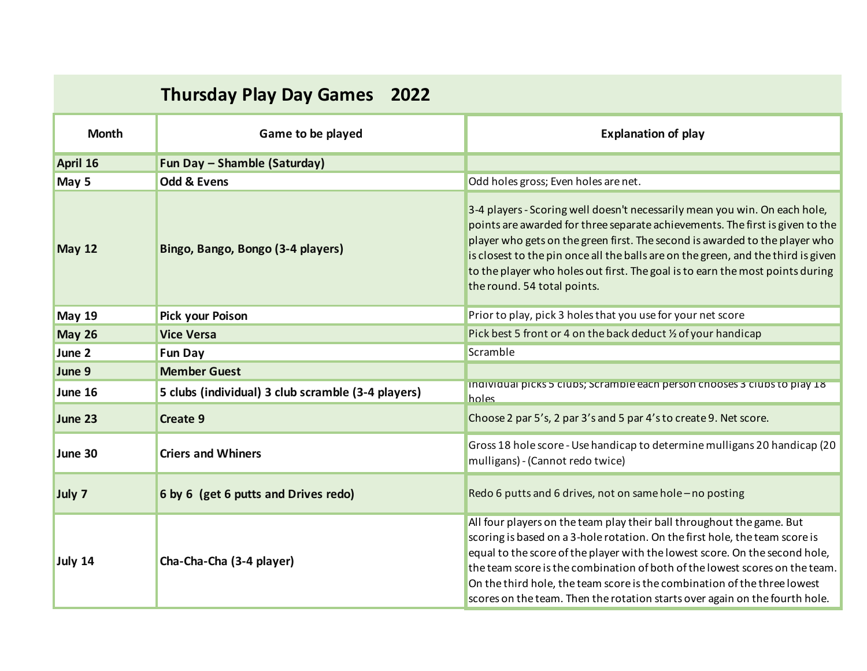## **Thursday Play Day Games 2022**

| <b>Month</b>  | Game to be played                                  | <b>Explanation of play</b>                                                                                                                                                                                                                                                                                                                                                                                                                                                    |
|---------------|----------------------------------------------------|-------------------------------------------------------------------------------------------------------------------------------------------------------------------------------------------------------------------------------------------------------------------------------------------------------------------------------------------------------------------------------------------------------------------------------------------------------------------------------|
| April 16      | Fun Day - Shamble (Saturday)                       |                                                                                                                                                                                                                                                                                                                                                                                                                                                                               |
| May 5         | <b>Odd &amp; Evens</b>                             | Odd holes gross; Even holes are net.                                                                                                                                                                                                                                                                                                                                                                                                                                          |
| <b>May 12</b> | Bingo, Bango, Bongo (3-4 players)                  | 3-4 players - Scoring well doesn't necessarily mean you win. On each hole,<br>points are awarded for three separate achievements. The first is given to the<br>player who gets on the green first. The second is awarded to the player who<br>is closest to the pin once all the balls are on the green, and the third is given<br>to the player who holes out first. The goal is to earn the most points during<br>the round. 54 total points.                               |
| <b>May 19</b> | <b>Pick your Poison</b>                            | Prior to play, pick 3 holes that you use for your net score                                                                                                                                                                                                                                                                                                                                                                                                                   |
| <b>May 26</b> | <b>Vice Versa</b>                                  | Pick best 5 front or 4 on the back deduct 1/2 of your handicap                                                                                                                                                                                                                                                                                                                                                                                                                |
| June 2        | <b>Fun Day</b>                                     | Scramble                                                                                                                                                                                                                                                                                                                                                                                                                                                                      |
| June 9        | <b>Member Guest</b>                                |                                                                                                                                                                                                                                                                                                                                                                                                                                                                               |
| June 16       | 5 clubs (individual) 3 club scramble (3-4 players) | individual picks 5 clubs; Scramble each person chooses 3 clubs to play 18<br>holes                                                                                                                                                                                                                                                                                                                                                                                            |
| June 23       | Create 9                                           | Choose 2 par 5's, 2 par 3's and 5 par 4's to create 9. Net score.                                                                                                                                                                                                                                                                                                                                                                                                             |
| June 30       | <b>Criers and Whiners</b>                          | Gross 18 hole score - Use handicap to determine mulligans 20 handicap (20<br>mulligans) - (Cannot redo twice)                                                                                                                                                                                                                                                                                                                                                                 |
| July 7        | 6 by 6 (get 6 putts and Drives redo)               | Redo 6 putts and 6 drives, not on same hole - no posting                                                                                                                                                                                                                                                                                                                                                                                                                      |
| July 14       | Cha-Cha-Cha (3-4 player)                           | All four players on the team play their ball throughout the game. But<br>scoring is based on a 3-hole rotation. On the first hole, the team score is<br>equal to the score of the player with the lowest score. On the second hole,<br>the team score is the combination of both of the lowest scores on the team.<br>On the third hole, the team score is the combination of the three lowest<br>scores on the team. Then the rotation starts over again on the fourth hole. |